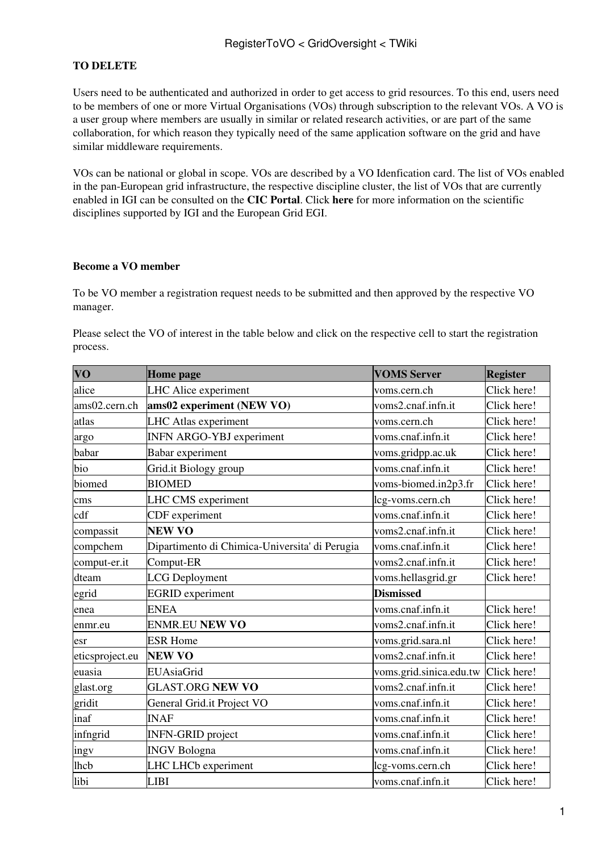## **TO DELETE**

Users need to be authenticated and authorized in order to get access to grid resources. To this end, users need to be members of one or more Virtual Organisations (VOs) through subscription to the relevant VOs. A VO is a user group where members are usually in similar or related research activities, or are part of the same collaboration, for which reason they typically need of the same application software on the grid and have similar middleware requirements.

VOs can be national or global in scope. VOs are described by a VO Idenfication card. The list of VOs enabled in the pan-European grid infrastructure, the respective discipline cluster, the list of VOs that are currently enabled in IGI can be consulted on the **[CIC Portal](https://cic.gridops.org/index.php?section=vo)**. Click **[here](https://www.italiangrid.org/communities/supportedVOs)** for more information on the scientific disciplines supported by IGI and the European Grid EGI.

## **Become a VO member**

To be VO member a registration request needs to be submitted and then approved by the respective VO manager.

Please select the VO of interest in the table below and click on the respective cell to start the registration process.

| <b>VO</b>       | <b>Home</b> page                               | <b>VOMS Server</b>      | <b>Register</b> |
|-----------------|------------------------------------------------|-------------------------|-----------------|
| alice           | LHC Alice experiment                           | voms.cern.ch            | Click here!     |
| ams02.cern.ch   | ams02 experiment (NEW VO)                      | voms2.cnaf.infn.it      | Click here!     |
| atlas           | <b>LHC</b> Atlas experiment                    | voms.cern.ch            | Click here!     |
| argo            | <b>INFN ARGO-YBJ</b> experiment                | voms.cnaf.infn.it       | Click here!     |
| babar           | Babar experiment                               | voms.gridpp.ac.uk       | Click here!     |
| bio             | Grid.it Biology group                          | voms.cnaf.infn.it       | Click here!     |
| biomed          | <b>BIOMED</b>                                  | voms-biomed.in2p3.fr    | Click here!     |
| cms             | LHC CMS experiment                             | lcg-voms.cern.ch        | Click here!     |
| cdf             | CDF experiment                                 | voms.cnaf.infn.it       | Click here!     |
| compassit       | <b>NEW VO</b>                                  | voms2.cnaf.infn.it      | Click here!     |
| compchem        | Dipartimento di Chimica-Universita' di Perugia | voms.cnaf.infn.it       | Click here!     |
| comput-er.it    | Comput-ER                                      | voms2.cnaf.infn.it      | Click here!     |
| dteam           | <b>LCG</b> Deployment                          | voms.hellasgrid.gr      | Click here!     |
| egrid           | <b>EGRID</b> experiment                        | <b>Dismissed</b>        |                 |
| enea            | <b>ENEA</b>                                    | voms.cnaf.infn.it       | Click here!     |
| enmr.eu         | <b>ENMR.EU NEW VO</b>                          | voms2.cnaf.infn.it      | Click here!     |
| esr             | <b>ESR Home</b>                                | voms.grid.sara.nl       | Click here!     |
| eticsproject.eu | <b>NEW VO</b>                                  | voms2.cnaf.infn.it      | Click here!     |
| euasia          | EUAsiaGrid                                     | voms.grid.sinica.edu.tw | Click here!     |
| glast.org       | <b>GLAST.ORG NEW VO</b>                        | voms2.cnaf.infn.it      | Click here!     |
| gridit          | General Grid.it Project VO                     | voms.cnaf.infn.it       | Click here!     |
| inaf            | <b>INAF</b>                                    | voms.cnaf.infn.it       | Click here!     |
| infngrid        | <b>INFN-GRID</b> project                       | voms.cnaf.infn.it       | Click here!     |
| ingv            | <b>INGV Bologna</b>                            | voms.cnaf.infn.it       | Click here!     |
| lhcb            | LHC LHCb experiment                            | lcg-voms.cern.ch        | Click here!     |
| libi            | <b>LIBI</b>                                    | voms.cnaf.infn.it       | Click here!     |